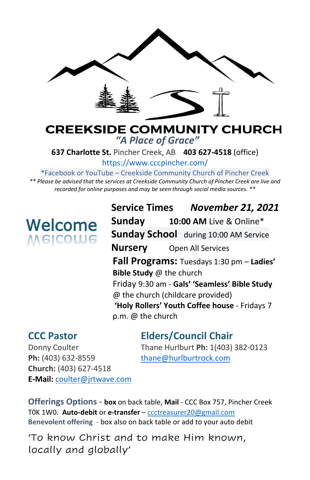

### **CREEKSIDE COMMUNITY CHURCH** *"A Place of Grace"*

**637 Charlotte St.** Pincher Creek, AB **403 627-4518** (office)

<https://www.cccpincher.com/>

\*Facebook or YouTube – Creekside Community Church of Pincher Creek

*\*\* Please be advised that the services at Creekside Community Church of Pincher Creek are live and recorded for online purposes and may be seen through social media sources. \*\**

# Welcome Welcome

**Service Times** *November 21, 2021* **Sunday 10:00 AM** Live & Online\* **Sunday School** during 10:00 AM Service **Nursery** Open All Services **Fall Programs:** Tuesdays 1:30 pm – **Ladies' Bible Study** @ the church Friday 9:30 am - **Gals' 'Seamless' Bible Study**  @ the church (childcare provided) **'Holy Rollers' Youth Coffee house** - Fridays 7 p.m. @ the church

## **CCC Pastor Elders/Council Chair**

Ph: (403) 632-8559 [thane@hurlburtrock.com](mailto:thane@hurlburtrock.com) **Church:** (403) 627-4518 **E-Mail:** [coulter@jrtwave.com](mailto:coulter@jrtwave.com)

Donny Coulter Thane Hurlburt **Ph:** 1(403) 382-0123

**Offerings Options - box** on back table, **Mail** - CCC Box 757, Pincher Creek T0K 1W0. **Auto-debit** or **e-transfer** – [ccctreasurer20@gmail.com](mailto:ccctreasurer20@gmail.com) **Benevolent offering** - box also on back table or add to your auto debit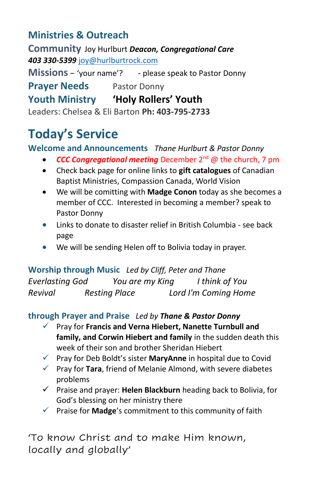## **Ministries & Outreach**

**Community** Joy Hurlburt *Deacon, Congregational Care 403 330-5399* [joy@hurlburtrock.com](mailto:joy@hurlburtrock.com)

**Missions** – 'your name'? - please speak to Pastor Donny **Prayer Needs** Pastor Donny **Youth Ministry 'Holy Rollers' Youth** Leaders: Chelsea & Eli Barton **Ph: 403-795-2733**

# **Today's Service**

#### **Welcome and Announcements** *Thane Hurlburt & Pastor Donny*

- *CCC Congregational meeting* December 2nd @ the church, 7 pm
- Check back page for online links to **gift catalogues** of Canadian Baptist Ministries, Compassion Canada, World Vision
- We will be comitting with **Madge Conon** today as she becomes a member of CCC. Interested in becoming a member? speak to Pastor Donny
- Links to donate to disaster relief in British Columbia see back page
- We will be sending Helen off to Bolivia today in prayer.

**Worship through Music** *Led by Cliff, Peter and Thane Everlasting God You are my King I think of You Revival Resting Place Lord I'm Coming Home*

#### **through Prayer and Praise** *Led by Thane & Pastor Donny*

- ✓ Pray for **Francis and Verna Hiebert, Nanette Turnbull and family, and Corwin Hiebert and family** in the sudden death this week of their son and brother Sheridan Hiebert
- ✓ Pray for Deb Boldt's sister **MaryAnne** in hospital due to Covid
- ✓ Pray for **Tara**, friend of Melanie Almond, with severe diabetes problems
- ✓ Praise and prayer: **Helen Blackburn** heading back to Bolivia, for God's blessing on her ministry there
- ✓ Praise for **Madge**'s commitment to this community of faith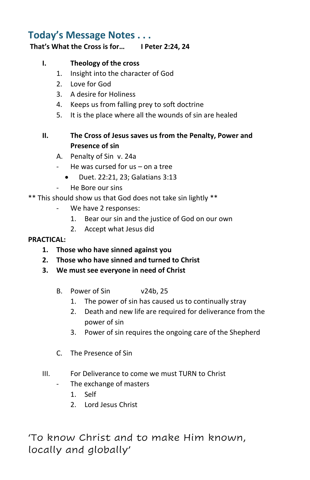### **Today's Message Notes . . .**

#### **That's What the Cross is for… I Peter 2:24, 24**

#### **I. Theology of the cross**

- 1. Insight into the character of God
- 2. Love for God
- 3. A desire for Holiness
- 4. Keeps us from falling prey to soft doctrine
- 5. It is the place where all the wounds of sin are healed

#### **II. The Cross of Jesus saves us from the Penalty, Power and Presence of sin**

- A. Penalty of Sin v. 24a
- He was cursed for  $us on a tree$ 
	- Duet. 22:21, 23; Galatians 3:13
- He Bore our sins

#### \*\* This should show us that God does not take sin lightly \*\*

- We have 2 responses:
	- 1. Bear our sin and the justice of God on our own
	- 2. Accept what Jesus did

#### **PRACTICAL:**

- **1. Those who have sinned against you**
- **2. Those who have sinned and turned to Christ**
- **3. We must see everyone in need of Christ**
	- B. Power of Sin v24b, 25
		- 1. The power of sin has caused us to continually stray
		- 2. Death and new life are required for deliverance from the power of sin
		- 3. Power of sin requires the ongoing care of the Shepherd
	- C. The Presence of Sin
- III. For Deliverance to come we must TURN to Christ
	- The exchange of masters
		- 1. Self
		- 2. Lord Jesus Christ